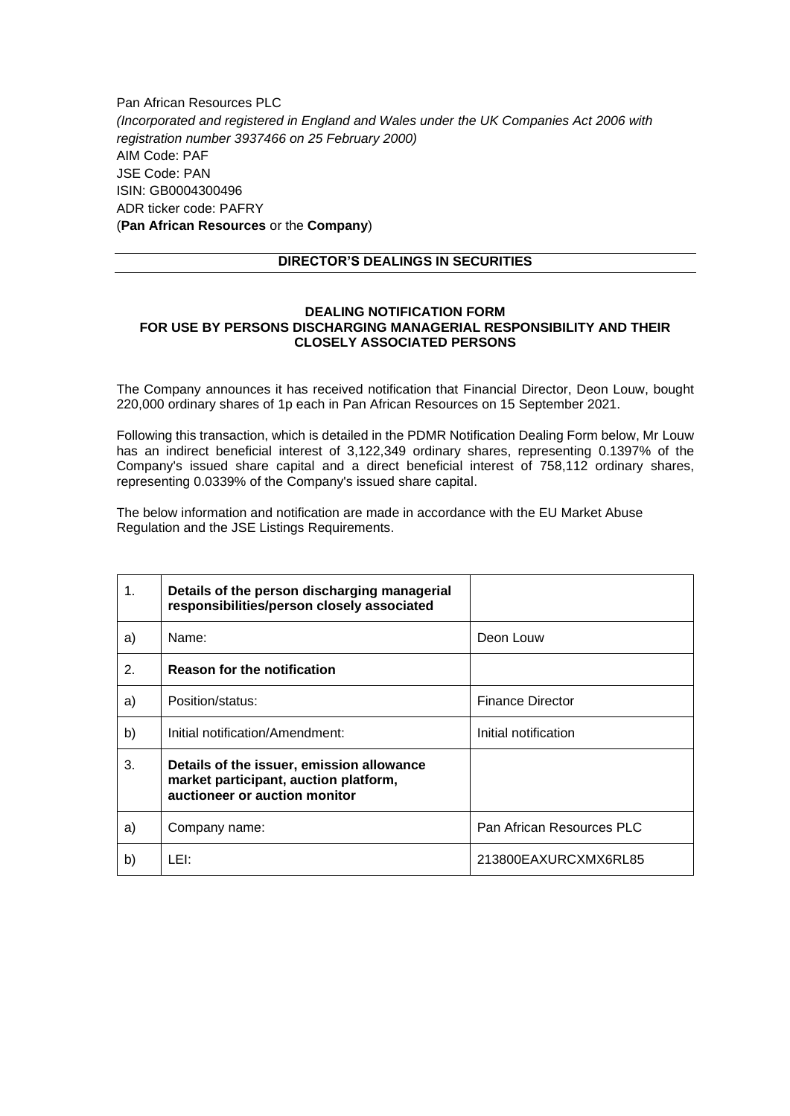Pan African Resources PLC *(Incorporated and registered in England and Wales under the UK Companies Act 2006 with registration number 3937466 on 25 February 2000)* AIM Code: PAF JSE Code: PAN ISIN: GB0004300496 ADR ticker code: PAFRY (**Pan African Resources** or the **Company**)

## **DIRECTOR'S DEALINGS IN SECURITIES**

## **DEALING NOTIFICATION FORM FOR USE BY PERSONS DISCHARGING MANAGERIAL RESPONSIBILITY AND THEIR CLOSELY ASSOCIATED PERSONS**

The Company announces it has received notification that Financial Director, Deon Louw, bought 220,000 ordinary shares of 1p each in Pan African Resources on 15 September 2021.

Following this transaction, which is detailed in the PDMR Notification Dealing Form below, Mr Louw has an indirect beneficial interest of 3,122,349 ordinary shares, representing 0.1397% of the Company's issued share capital and a direct beneficial interest of 758,112 ordinary shares, representing 0.0339% of the Company's issued share capital.

The below information and notification are made in accordance with the EU Market Abuse Regulation and the JSE Listings Requirements.

| 1. | Details of the person discharging managerial<br>responsibilities/person closely associated                          |                           |
|----|---------------------------------------------------------------------------------------------------------------------|---------------------------|
| a) | Name:                                                                                                               | Deon Louw                 |
| 2. | <b>Reason for the notification</b>                                                                                  |                           |
| a) | Position/status:                                                                                                    | <b>Finance Director</b>   |
| b) | Initial notification/Amendment:                                                                                     | Initial notification      |
| 3. | Details of the issuer, emission allowance<br>market participant, auction platform,<br>auctioneer or auction monitor |                           |
| a) | Company name:                                                                                                       | Pan African Resources PLC |
| b) | LEI:                                                                                                                | 213800EAXURCXMX6RL85      |